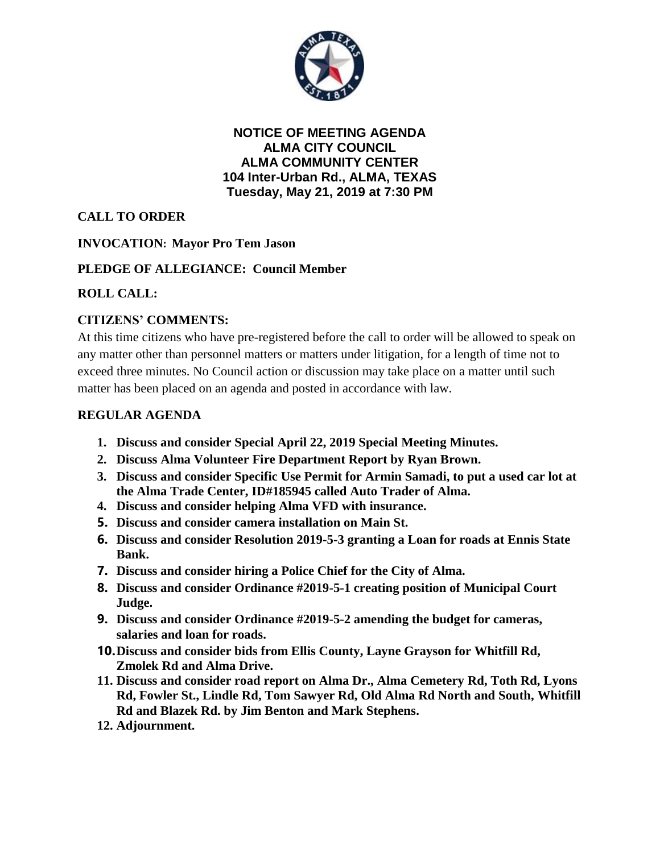

**NOTICE OF MEETING AGENDA ALMA CITY COUNCIL ALMA COMMUNITY CENTER 104 Inter-Urban Rd., ALMA, TEXAS Tuesday, May 21, 2019 at 7:30 PM**

# **CALL TO ORDER**

## **INVOCATION: Mayor Pro Tem Jason**

## **PLEDGE OF ALLEGIANCE: Council Member**

## **ROLL CALL:**

## **CITIZENS' COMMENTS:**

At this time citizens who have pre-registered before the call to order will be allowed to speak on any matter other than personnel matters or matters under litigation, for a length of time not to exceed three minutes. No Council action or discussion may take place on a matter until such matter has been placed on an agenda and posted in accordance with law.

#### **REGULAR AGENDA**

- **1. Discuss and consider Special April 22, 2019 Special Meeting Minutes.**
- **2. Discuss Alma Volunteer Fire Department Report by Ryan Brown.**
- **3. Discuss and consider Specific Use Permit for Armin Samadi, to put a used car lot at the Alma Trade Center, ID#185945 called Auto Trader of Alma.**
- **4. Discuss and consider helping Alma VFD with insurance.**
- **5. Discuss and consider camera installation on Main St.**
- **6. Discuss and consider Resolution 2019-5-3 granting a Loan for roads at Ennis State Bank.**
- **7. Discuss and consider hiring a Police Chief for the City of Alma.**
- **8. Discuss and consider Ordinance #2019-5-1 creating position of Municipal Court Judge.**
- **9. Discuss and consider Ordinance #2019-5-2 amending the budget for cameras, salaries and loan for roads.**
- **10.Discuss and consider bids from Ellis County, Layne Grayson for Whitfill Rd, Zmolek Rd and Alma Drive.**
- **11. Discuss and consider road report on Alma Dr., Alma Cemetery Rd, Toth Rd, Lyons Rd, Fowler St., Lindle Rd, Tom Sawyer Rd, Old Alma Rd North and South, Whitfill Rd and Blazek Rd. by Jim Benton and Mark Stephens.**
- **12. Adjournment.**